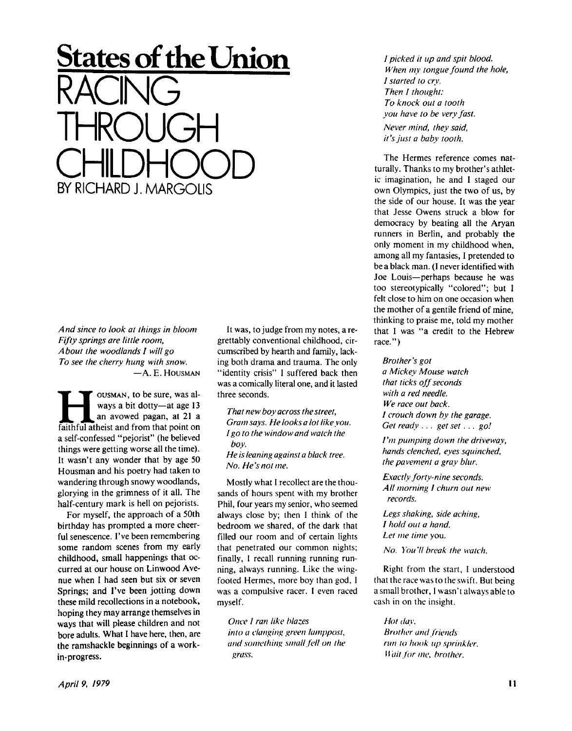## *And since to look at things in bloom Fifty springs are little room, About the woodlands I will go To see the cherry hung with snow.*  — A . **E . HOUSMAN**

RACING

THROUGH

BY RICHARD J. MARGOLIS

CHILDHOOD<br>EXPICHABD LAARGOUG

**States of the Union** 

**Hermannistan at all starts** and avowed pagan, at 21 a faithful atheist and from that point on **OUSMAN**, to be sure, was always a bit dotty—at age 13 an avowed pagan, at 21 a a self-confessed "pejorist" (he believed things were getting worse all the time). It wasn't any wonder that by age 50 Housman and his poetry had taken to wandering through snowy woodlands, glorying in the grimness of it all. The half-century mark is hell on pejorists.

For myself, the approach of a 50th birthday has prompted a more cheerful senescence. I've been remembering some random scenes from my early childhood, small happenings that occurred at our house on Linwood Avenue when I had seen but six or seven Springs; and I've been jotting down these mild recollections in a notebook, hoping they may arrange themselves in ways that will please children and not bore adults. What I have here, then, are the ramshackle beginnings of a workin-progress.

It was, to judge from my notes, a regrettably conventional childhood, circumscribed by hearth and family, lacking both drama and trauma. The only "identity crisis" I suffered back then was a comically literal one, and it lasted three seconds.

*That new boy across the street, Gram says. He looks a lot like you. I go to the window and watch the boy. He is leaning against a black tree. No. He's not me.* 

Mostly what I recollect are the thousands of hours spent with my brother Phil, four years my senior, who seemed always close by; then I think of the bedroom we shared, of the dark that filled our room and of certain lights that penetrated our common nights; finally, I recall running running running, always running. Like the wingfooted Hermes, more boy than god, 1 was a compulsive racer. I even raced myself.

*Once I ran like blazes into a clanging green lamppost, and something small fell on the grass.* 

*I picked it up and spit blood. When my tongue found the hole, I started to cry. Then I thought: To knock out a tooth you have to be very fast. Never mind, they said, it's just a baby tooth.* 

The Hermes reference comes natturally. Thanks to my brother's athletic imagination, he and I staged our own Olympics, just the two of us, by the side of our house. It was the year that Jesse Owens struck a blow for democracy by beating all the Aryan runners in Berlin, and probably the only moment in my childhood when, among all my fantasies, I pretended to be a black man. (I never identified with Joe Louis—perhaps because he was too stereotypically "colored"; but I felt close to him on one occasion when the mother of a gentile friend of mine, thinking to praise me, told my mother that I was "a credit to the Hebrew race.")

## *Brother's got*

*a Mickey Mouse watch that ticks off seconds with a red needle. We race out back. I crouch down by the garage. Get ready .. . get set. . . go!* 

*I'm pumping down the driveway, hands clenched, eyes squinched, the pavement a gray blur.* 

*Exactly forty-nine seconds. AII morning I churn out new records.* 

*Legs shaking, side aching, I hold out a hand. Let me time* you.

*No. You 'II break the watch.* 

Right from the start, I understood that the race was to the swift. But being a small brother, 1 wasn't always able to cash in on the insight.

*Hot day. Brother and friends run to hook up sprinkler. Wait for me. brother.*